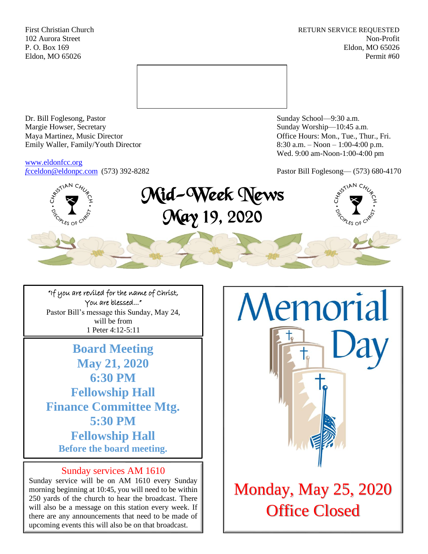First Christian Church **RETURN SERVICE REQUESTED** 102 Aurora Street Non-Profit P. O. Box 169 Eldon, MO 65026 Eldon, MO 65026 Permit #60



Dr. Bill Foglesong, Pastor Sunday School—9:30 a.m. Margie Howser, Secretary Sunday Worship—10:45 a.m. Maya Martinez, Music Director Office Hours: Mon., Tue., Thur., Fri. Emily Waller, Family/Youth Director 8:30 a.m. – Noon – 1:00-4:00 p.m.

[www.eldonfcc.org](http://www.eldonfcc.org/)

Wed. 9:00 am-Noon-1:00-4:00 pm

*f*[cceldon@eldonpc.com](mailto:fcceldon@eldonpc.com) (573) 392-8282 Pastor Bill Foglesong— (573) 680-4170



"If you are reviled for the name of Christ, You are blessed..." Pastor Bill's message this Sunday, May 24, will be from 1 Peter 4:12-5:11

**Board Meeting May 21, 2020 6:30 PM Fellowship Hall Finance Committee Mtg. 5:30 PM Fellowship Hall Before the board meeting.** 

## Sunday services AM 1610

Sunday service will be on AM 1610 every Sunday morning beginning at 10:45, you will need to be within 250 yards of the church to hear the broadcast. There will also be a message on this station every week. If there are any announcements that need to be made of upcoming events this will also be on that broadcast.